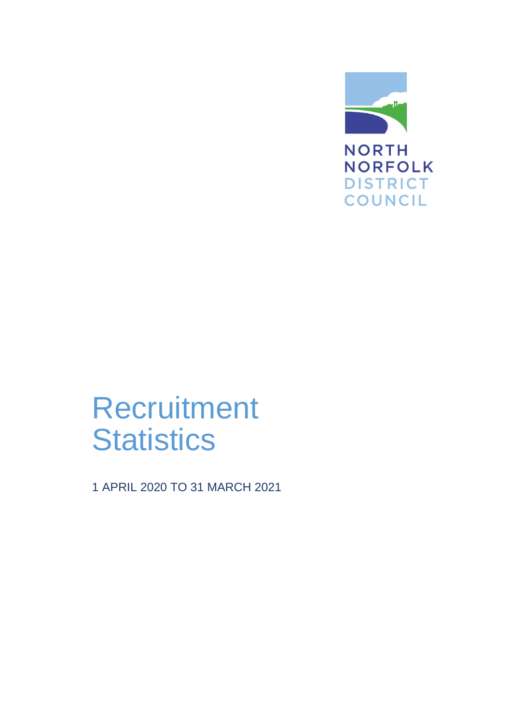

# **Recruitment Statistics**

1 APRIL 2020 TO 31 MARCH 2021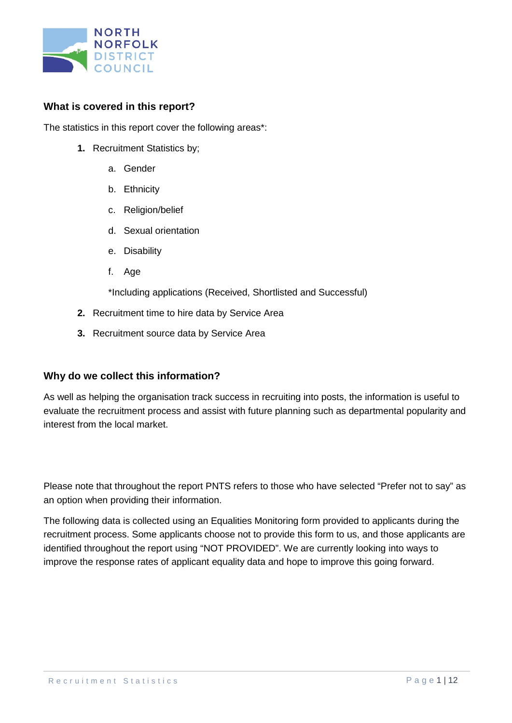

### **What is covered in this report?**

The statistics in this report cover the following areas\*:

- **1.** Recruitment Statistics by;
	- a. Gender
	- b. Ethnicity
	- c. Religion/belief
	- d. Sexual orientation
	- e. Disability
	- f. Age

\*Including applications (Received, Shortlisted and Successful)

- **2.** Recruitment time to hire data by Service Area
- **3.** Recruitment source data by Service Area

#### **Why do we collect this information?**

As well as helping the organisation track success in recruiting into posts, the information is useful to evaluate the recruitment process and assist with future planning such as departmental popularity and interest from the local market.

Please note that throughout the report PNTS refers to those who have selected "Prefer not to say" as an option when providing their information.

The following data is collected using an Equalities Monitoring form provided to applicants during the recruitment process. Some applicants choose not to provide this form to us, and those applicants are identified throughout the report using "NOT PROVIDED". We are currently looking into ways to improve the response rates of applicant equality data and hope to improve this going forward.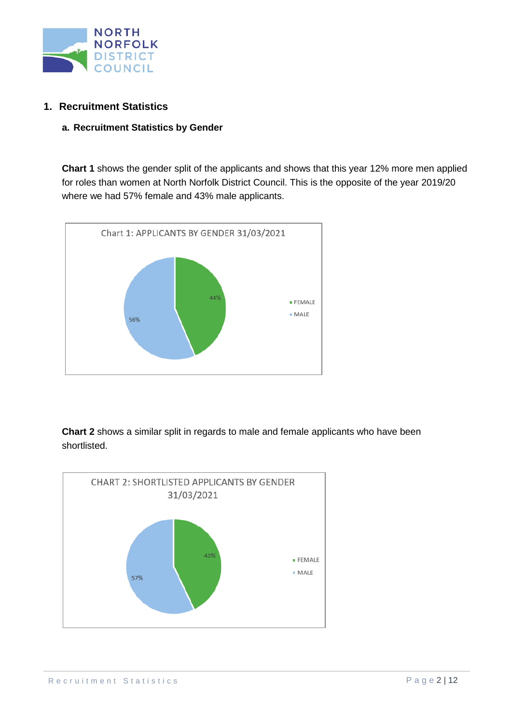

### **1. Recruitment Statistics**

#### **a. Recruitment Statistics by Gender**

**Chart 1** shows the gender split of the applicants and shows that this year 12% more men applied for roles than women at North Norfolk District Council. This is the opposite of the year 2019/20 where we had 57% female and 43% male applicants.



**Chart 2** shows a similar split in regards to male and female applicants who have been shortlisted.

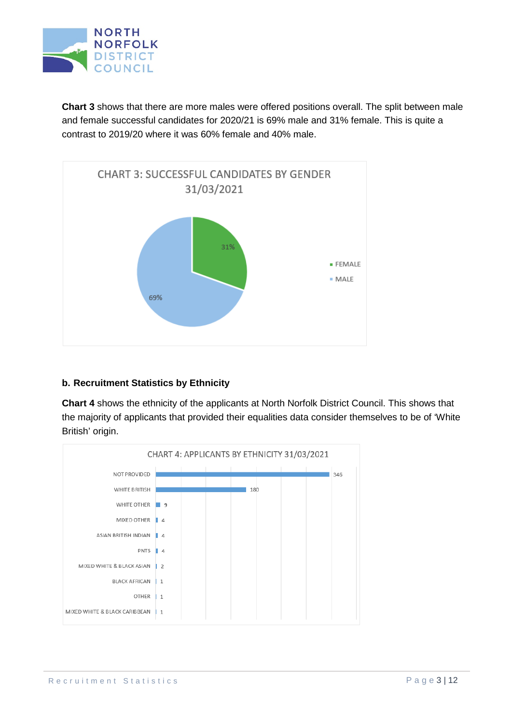

**Chart 3** shows that there are more males were offered positions overall. The split between male and female successful candidates for 2020/21 is 69% male and 31% female. This is quite a contrast to 2019/20 where it was 60% female and 40% male.



#### **b. Recruitment Statistics by Ethnicity**

**Chart 4** shows the ethnicity of the applicants at North Norfolk District Council. This shows that the majority of applicants that provided their equalities data consider themselves to be of 'White British' origin.

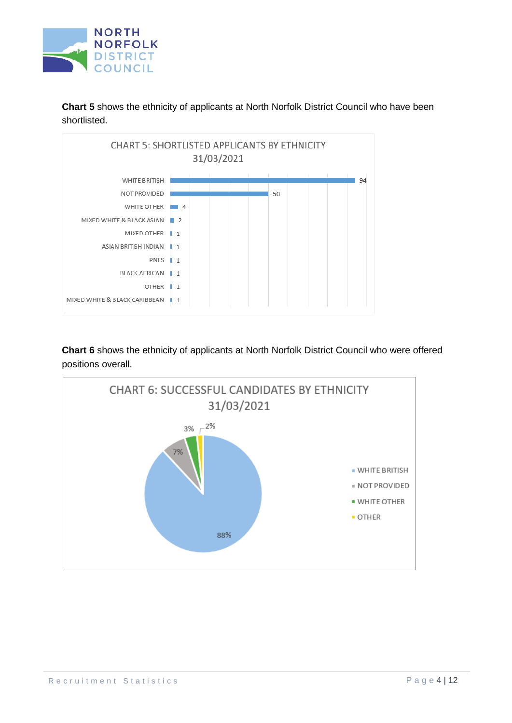

**Chart 5** shows the ethnicity of applicants at North Norfolk District Council who have been shortlisted.



**Chart 6** shows the ethnicity of applicants at North Norfolk District Council who were offered positions overall.

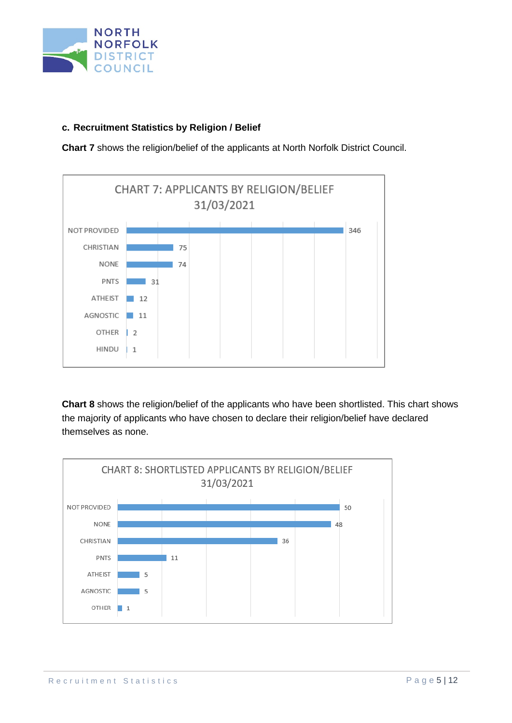

### **c. Recruitment Statistics by Religion / Belief**

**Chart 7** shows the religion/belief of the applicants at North Norfolk District Council.



**Chart 8** shows the religion/belief of the applicants who have been shortlisted. This chart shows the majority of applicants who have chosen to declare their religion/belief have declared themselves as none.

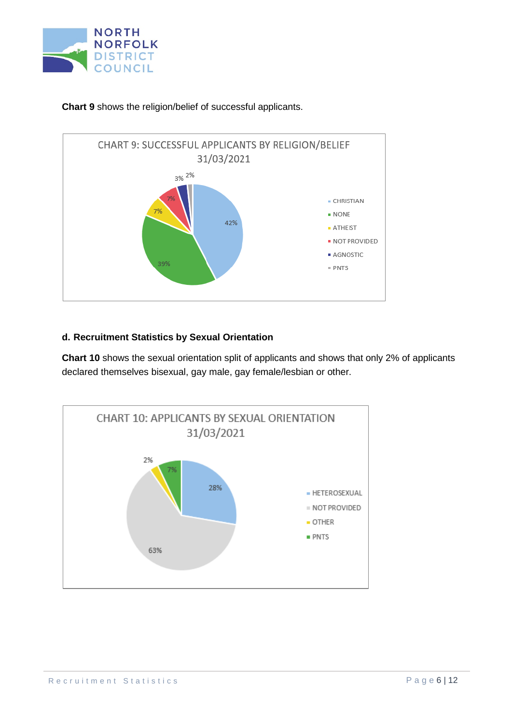



**Chart 9** shows the religion/belief of successful applicants.

#### **d. Recruitment Statistics by Sexual Orientation**

**Chart 10** shows the sexual orientation split of applicants and shows that only 2% of applicants declared themselves bisexual, gay male, gay female/lesbian or other.

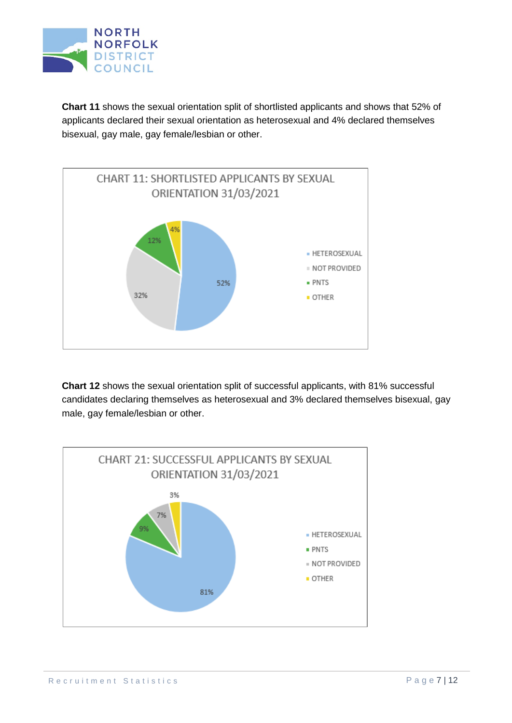

**Chart 11** shows the sexual orientation split of shortlisted applicants and shows that 52% of applicants declared their sexual orientation as heterosexual and 4% declared themselves bisexual, gay male, gay female/lesbian or other.



**Chart 12** shows the sexual orientation split of successful applicants, with 81% successful candidates declaring themselves as heterosexual and 3% declared themselves bisexual, gay male, gay female/lesbian or other.

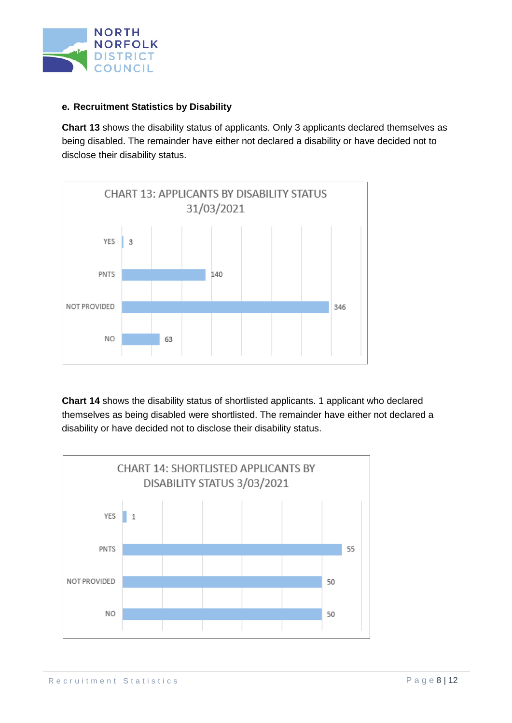

#### **e. Recruitment Statistics by Disability**

**Chart 13** shows the disability status of applicants. Only 3 applicants declared themselves as being disabled. The remainder have either not declared a disability or have decided not to disclose their disability status.



**Chart 14** shows the disability status of shortlisted applicants. 1 applicant who declared themselves as being disabled were shortlisted. The remainder have either not declared a disability or have decided not to disclose their disability status.

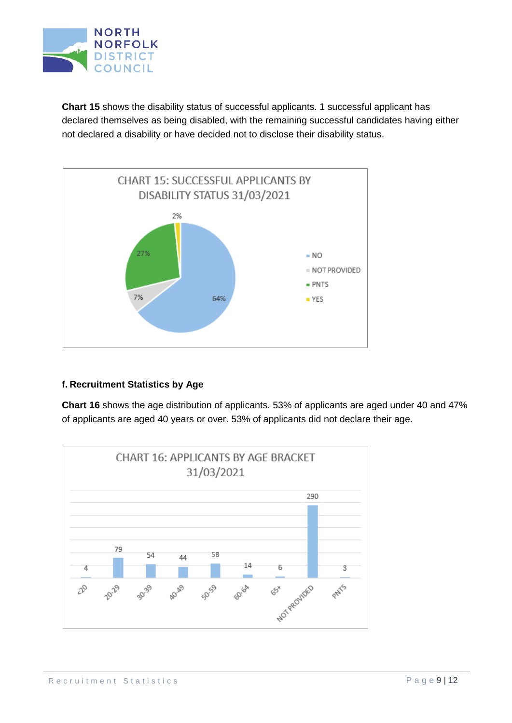

**Chart 15** shows the disability status of successful applicants. 1 successful applicant has declared themselves as being disabled, with the remaining successful candidates having either not declared a disability or have decided not to disclose their disability status.



## **f. Recruitment Statistics by Age**

**Chart 16** shows the age distribution of applicants. 53% of applicants are aged under 40 and 47% of applicants are aged 40 years or over. 53% of applicants did not declare their age.

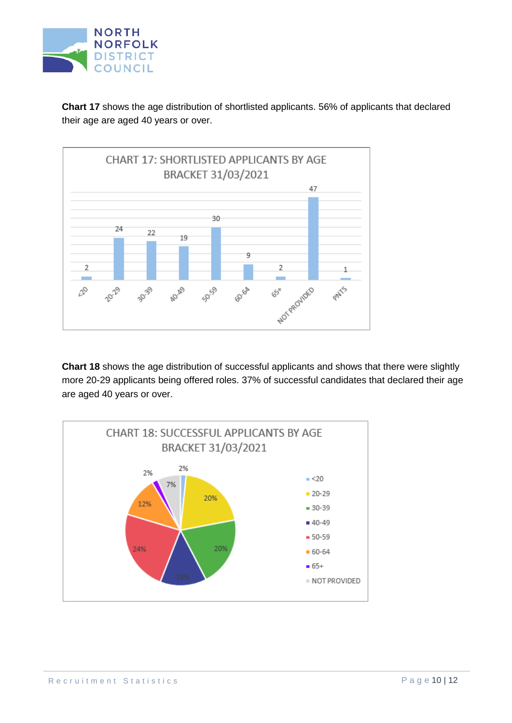

**Chart 17** shows the age distribution of shortlisted applicants. 56% of applicants that declared their age are aged 40 years or over.



**Chart 18** shows the age distribution of successful applicants and shows that there were slightly more 20-29 applicants being offered roles. 37% of successful candidates that declared their age are aged 40 years or over.

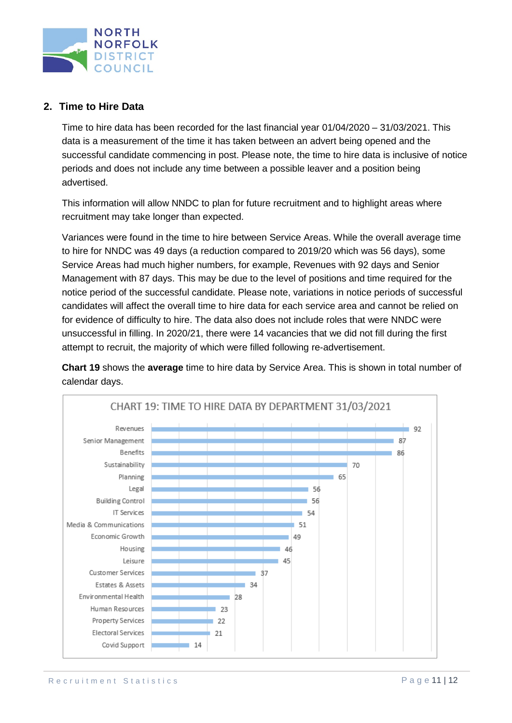

## **2. Time to Hire Data**

Time to hire data has been recorded for the last financial year 01/04/2020 – 31/03/2021. This data is a measurement of the time it has taken between an advert being opened and the successful candidate commencing in post. Please note, the time to hire data is inclusive of notice periods and does not include any time between a possible leaver and a position being advertised.

This information will allow NNDC to plan for future recruitment and to highlight areas where recruitment may take longer than expected.

Variances were found in the time to hire between Service Areas. While the overall average time to hire for NNDC was 49 days (a reduction compared to 2019/20 which was 56 days), some Service Areas had much higher numbers, for example, Revenues with 92 days and Senior Management with 87 days. This may be due to the level of positions and time required for the notice period of the successful candidate. Please note, variations in notice periods of successful candidates will affect the overall time to hire data for each service area and cannot be relied on for evidence of difficulty to hire. The data also does not include roles that were NNDC were unsuccessful in filling. In 2020/21, there were 14 vacancies that we did not fill during the first attempt to recruit, the majority of which were filled following re-advertisement.

**Chart 19** shows the **average** time to hire data by Service Area. This is shown in total number of calendar days.